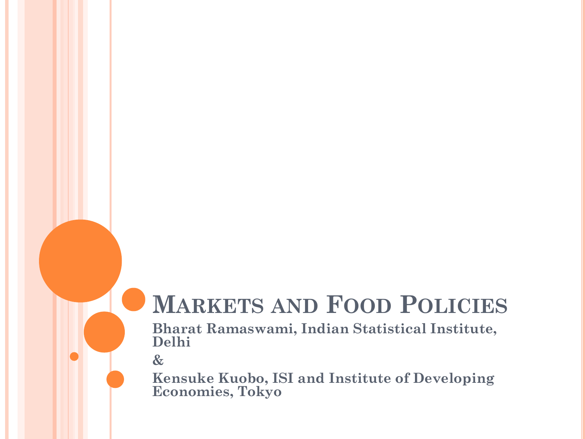### **MARKETS AND FOOD POLICIES**

**Bharat Ramaswami, Indian Statistical Institute, Delhi** 

**&**

**Kensuke Kuobo, ISI and Institute of Developing Economies, Tokyo**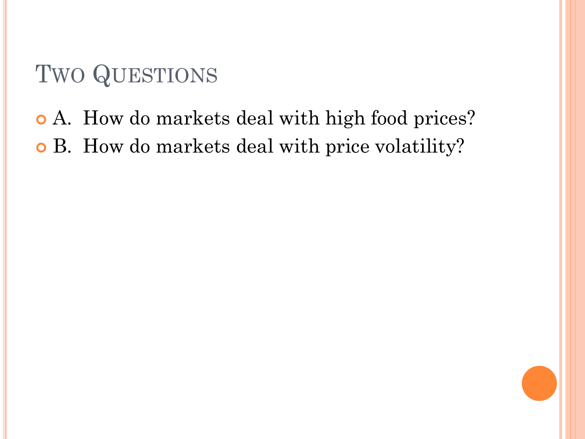## TWO QUESTIONS

# A. How do markets deal with high food prices? B. How do markets deal with price volatility?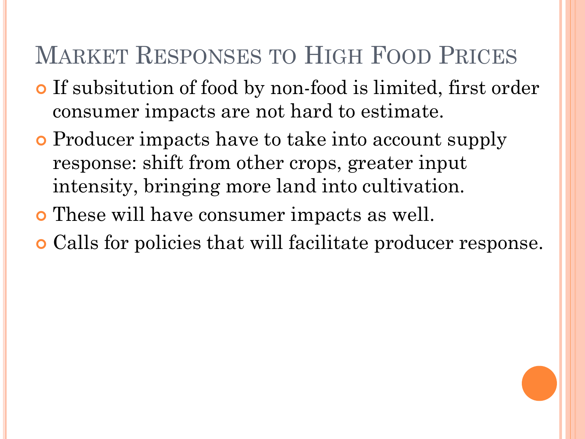## MARKET RESPONSES TO HIGH FOOD PRICES

- If subsitution of food by non-food is limited, first order consumer impacts are not hard to estimate.
- **o** Producer impacts have to take into account supply response: shift from other crops, greater input intensity, bringing more land into cultivation.
- These will have consumer impacts as well.
- Calls for policies that will facilitate producer response.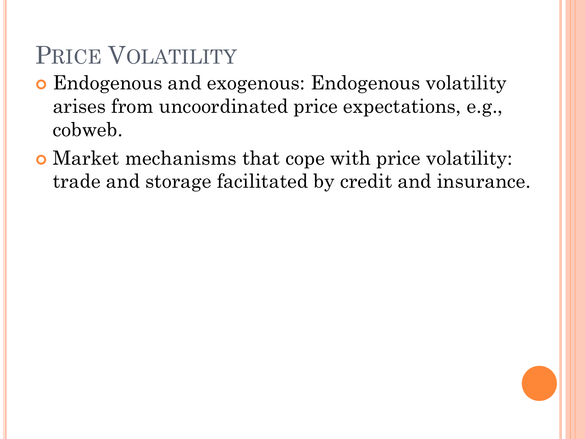## PRICE VOLATILITY

- Endogenous and exogenous: Endogenous volatility arises from uncoordinated price expectations, e.g., cobweb.
- Market mechanisms that cope with price volatility: trade and storage facilitated by credit and insurance.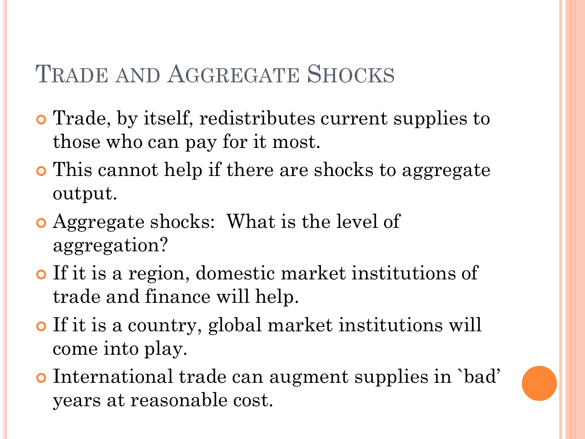### TRADE AND AGGREGATE SHOCKS

- Trade, by itself, redistributes current supplies to those who can pay for it most.
- **o** This cannot help if there are shocks to aggregate output.
- Aggregate shocks: What is the level of aggregation?
- If it is a region, domestic market institutions of trade and finance will help.
- If it is a country, global market institutions will come into play.
- International trade can augment supplies in `bad' years at reasonable cost.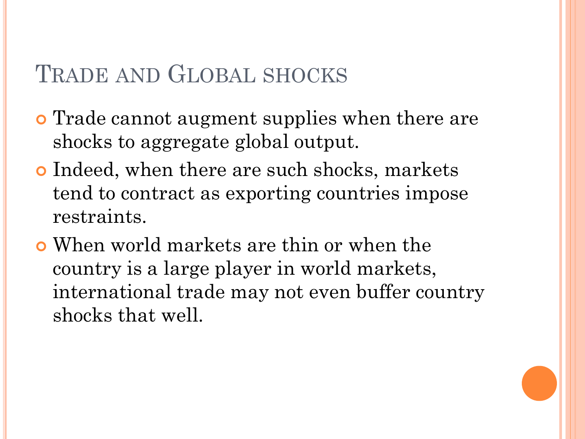#### TRADE AND GLOBAL SHOCKS

- **o** Trade cannot augment supplies when there are shocks to aggregate global output.
- **o** Indeed, when there are such shocks, markets tend to contract as exporting countries impose restraints.
- When world markets are thin or when the country is a large player in world markets, international trade may not even buffer country shocks that well.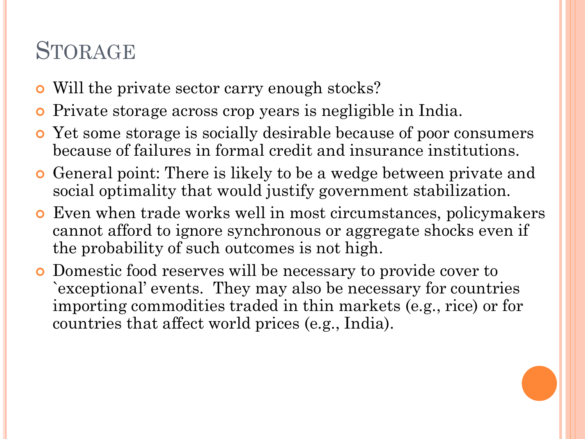### STORAGE

- Will the private sector carry enough stocks?
- Private storage across crop years is negligible in India.
- Yet some storage is socially desirable because of poor consumers because of failures in formal credit and insurance institutions.
- General point: There is likely to be a wedge between private and social optimality that would justify government stabilization.
- Even when trade works well in most circumstances, policymakers cannot afford to ignore synchronous or aggregate shocks even if the probability of such outcomes is not high.
- Domestic food reserves will be necessary to provide cover to `exceptional' events. They may also be necessary for countries importing commodities traded in thin markets (e.g., rice) or for countries that affect world prices (e.g., India).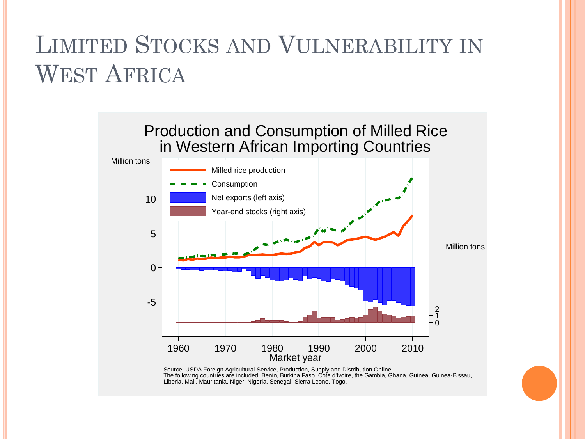# LIMITED STOCKS AND VULNERABILITY IN WEST AFRICA



Source: USDA Foreign Agricultural Service, Production, Supply and Distribution Online. The following countries are included: Benin, Burkina Faso, Cote d'Ivoire, the Gambia, Ghana, Guinea, Guinea-Bissau, Liberia, Mali, Mauritania, Niger, Nigeria, Senegal, Sierra Leone, Togo.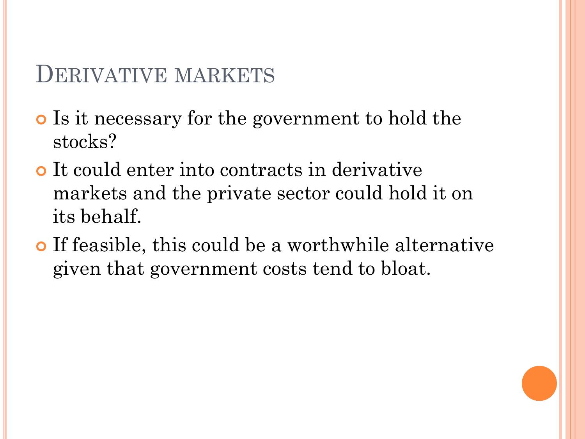#### DERIVATIVE MARKETS

- Is it necessary for the government to hold the stocks?
- It could enter into contracts in derivative markets and the private sector could hold it on its behalf.
- If feasible, this could be a worthwhile alternative given that government costs tend to bloat.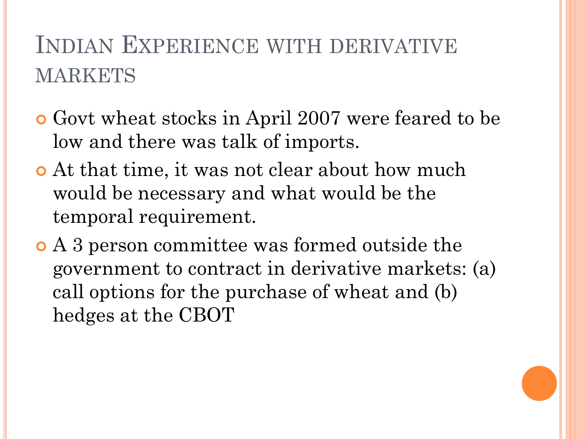# INDIAN EXPERIENCE WITH DERIVATIVE MARKETS

- Govt wheat stocks in April 2007 were feared to be low and there was talk of imports.
- At that time, it was not clear about how much would be necessary and what would be the temporal requirement.
- A 3 person committee was formed outside the government to contract in derivative markets: (a) call options for the purchase of wheat and (b) hedges at the CBOT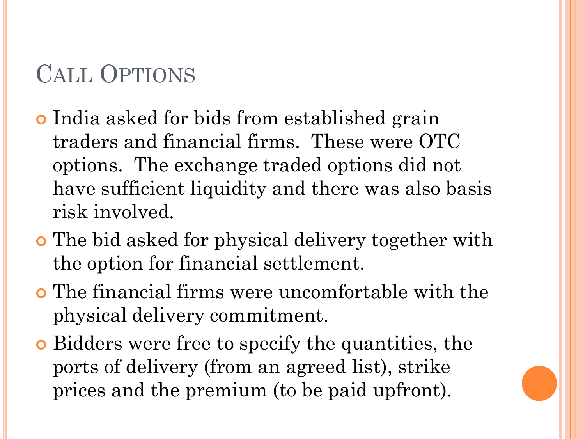# CALL OPTIONS

- India asked for bids from established grain traders and financial firms. These were OTC options. The exchange traded options did not have sufficient liquidity and there was also basis risk involved.
- The bid asked for physical delivery together with the option for financial settlement.
- The financial firms were uncomfortable with the physical delivery commitment.
- Bidders were free to specify the quantities, the ports of delivery (from an agreed list), strike prices and the premium (to be paid upfront).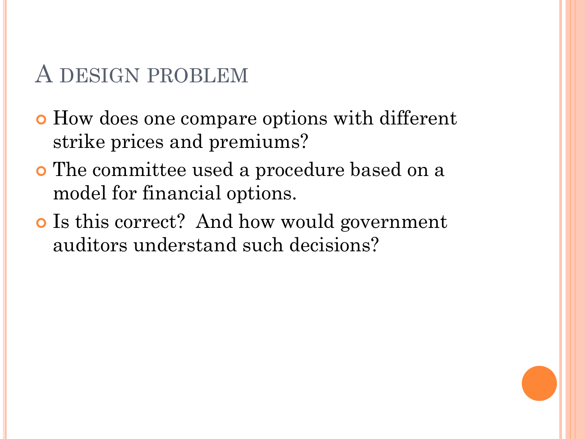#### A DESIGN PROBLEM

- How does one compare options with different strike prices and premiums?
- The committee used a procedure based on a model for financial options.
- o Is this correct? And how would government auditors understand such decisions?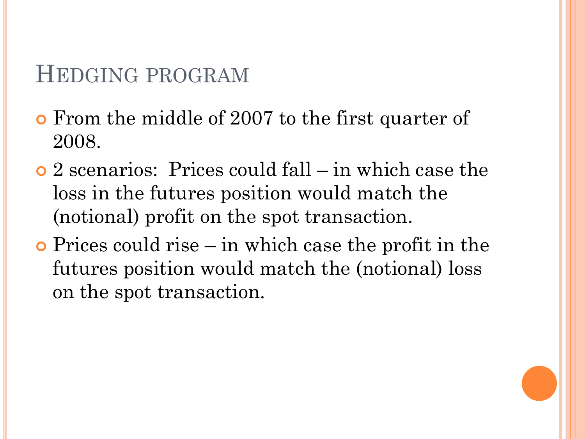#### HEDGING PROGRAM

- From the middle of 2007 to the first quarter of 2008.
- 2 scenarios: Prices could fall in which case the loss in the futures position would match the (notional) profit on the spot transaction.
- Prices could rise in which case the profit in the futures position would match the (notional) loss on the spot transaction.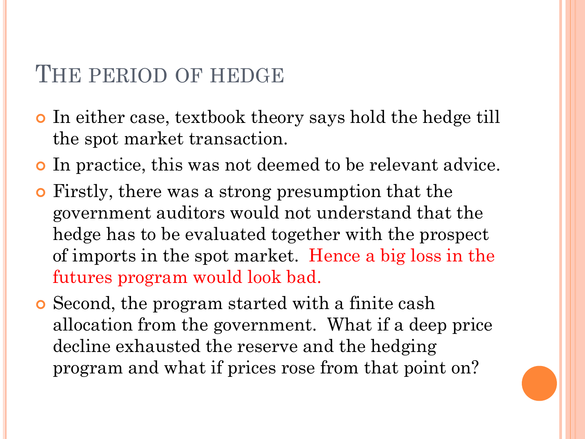#### THE PERIOD OF HEDGE

- In either case, textbook theory says hold the hedge till the spot market transaction.
- In practice, this was not deemed to be relevant advice.
- Firstly, there was a strong presumption that the government auditors would not understand that the hedge has to be evaluated together with the prospect of imports in the spot market. Hence a big loss in the futures program would look bad.
- Second, the program started with a finite cash allocation from the government. What if a deep price decline exhausted the reserve and the hedging program and what if prices rose from that point on?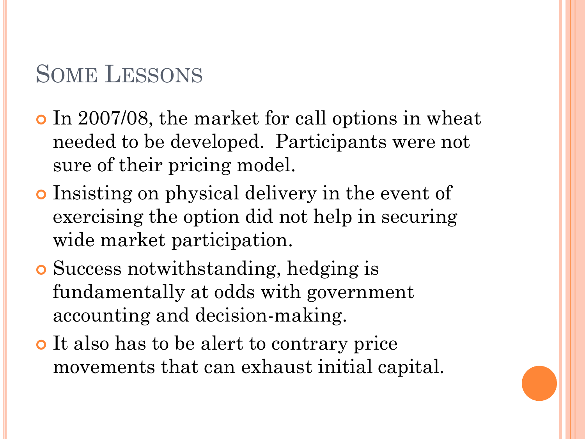## SOME LESSONS

- In 2007/08, the market for call options in wheat needed to be developed. Participants were not sure of their pricing model.
- Insisting on physical delivery in the event of exercising the option did not help in securing wide market participation.
- Success notwithstanding, hedging is fundamentally at odds with government accounting and decision-making.
- It also has to be alert to contrary price movements that can exhaust initial capital.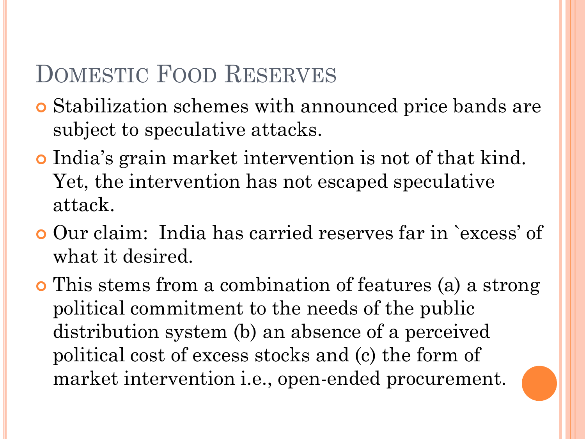### DOMESTIC FOOD RESERVES

- Stabilization schemes with announced price bands are subject to speculative attacks.
- India's grain market intervention is not of that kind. Yet, the intervention has not escaped speculative attack.
- Our claim: India has carried reserves far in `excess' of what it desired.
- This stems from a combination of features (a) a strong political commitment to the needs of the public distribution system (b) an absence of a perceived political cost of excess stocks and (c) the form of market intervention i.e., open-ended procurement.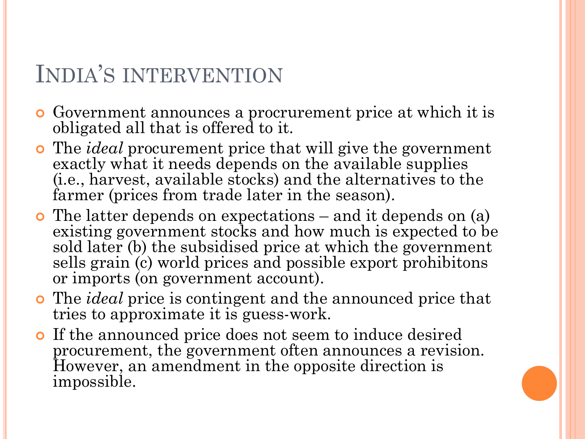## INDIA'S INTERVENTION

- Government announces a procrurement price at which it is obligated all that is offered to it.
- The *ideal* procurement price that will give the government exactly what it needs depends on the available supplies (i.e., harvest, available stocks) and the alternatives to the farmer (prices from trade later in the season).
- The latter depends on expectations and it depends on (a) existing government stocks and how much is expected to be sold later (b) the subsidised price at which the government sells grain (c) world prices and possible export prohibitons or imports (on government account).
- The *ideal* price is contingent and the announced price that tries to approximate it is guess-work.
- If the announced price does not seem to induce desired procurement, the government often announces a revision. However, an amendment in the opposite direction is impossible.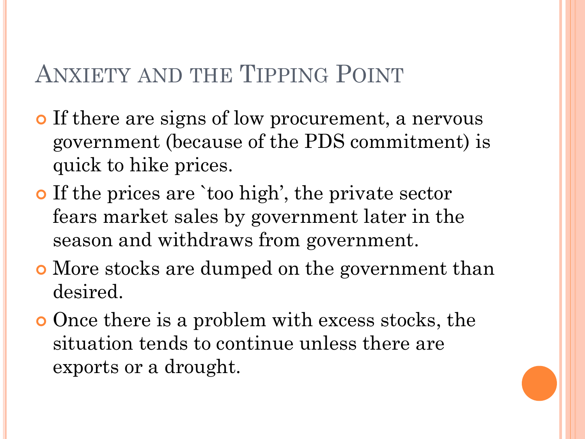### ANXIETY AND THE TIPPING POINT

- o If there are signs of low procurement, a nervous government (because of the PDS commitment) is quick to hike prices.
- o If the prices are `too high', the private sector fears market sales by government later in the season and withdraws from government.
- More stocks are dumped on the government than desired.
- Once there is a problem with excess stocks, the situation tends to continue unless there are exports or a drought.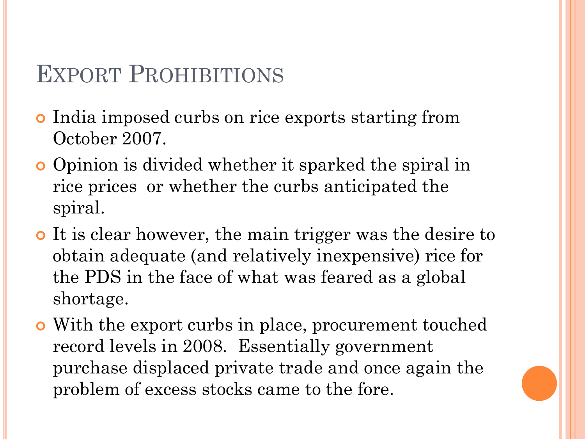### EXPORT PROHIBITIONS

- India imposed curbs on rice exports starting from October 2007.
- Opinion is divided whether it sparked the spiral in rice prices or whether the curbs anticipated the spiral.
- It is clear however, the main trigger was the desire to obtain adequate (and relatively inexpensive) rice for the PDS in the face of what was feared as a global shortage.
- With the export curbs in place, procurement touched record levels in 2008. Essentially government purchase displaced private trade and once again the problem of excess stocks came to the fore.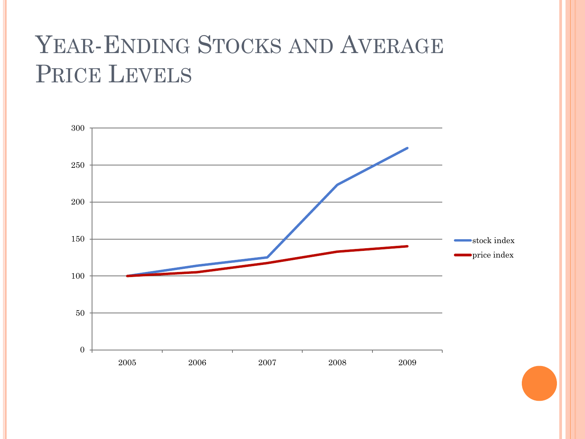# YEAR-ENDING STOCKS AND AVERAGE PRICE LEVELS

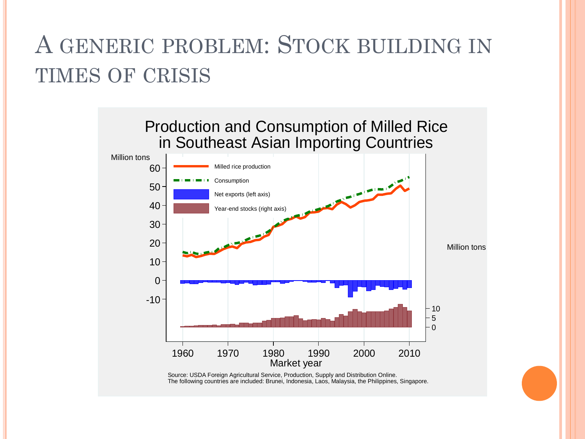## A GENERIC PROBLEM: STOCK BUILDING IN TIMES OF CRISIS



Source: USDA Foreign Agricultural Service, Production, Supply and Distribution Online. The following countries are included: Brunei, Indonesia, Laos, Malaysia, the Philippines, Singapore.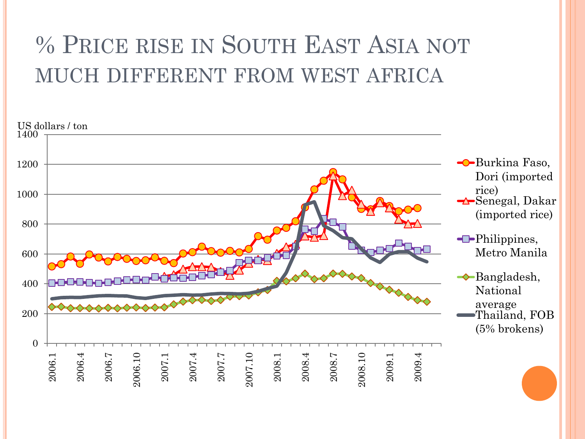# % PRICE RISE IN SOUTH EAST ASIA NOT MUCH DIFFERENT FROM WEST AFRICA

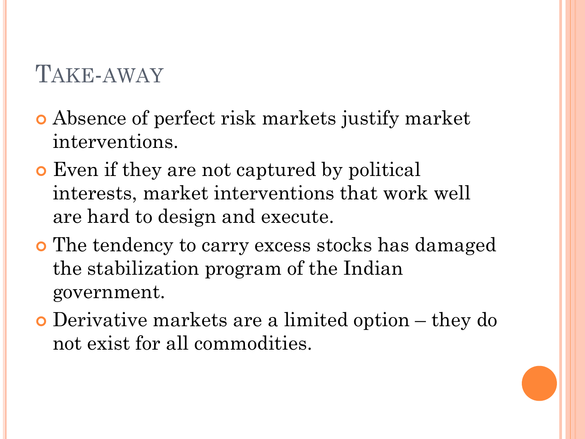### TAKE-AWAY

- Absence of perfect risk markets justify market interventions.
- **E** Even if they are not captured by political interests, market interventions that work well are hard to design and execute.
- The tendency to carry excess stocks has damaged the stabilization program of the Indian government.
- Derivative markets are a limited option they do not exist for all commodities.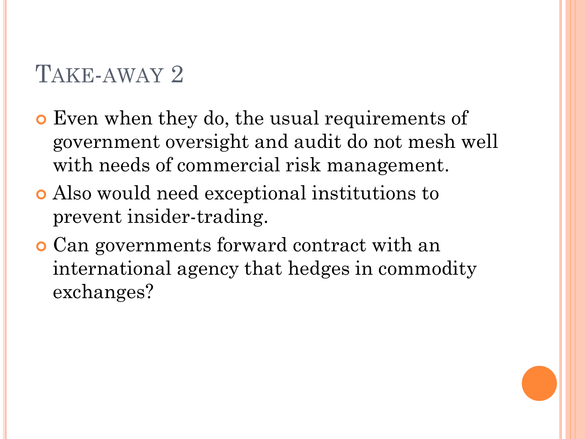## TAKE-AWAY 2

- Even when they do, the usual requirements of government oversight and audit do not mesh well with needs of commercial risk management.
- Also would need exceptional institutions to prevent insider-trading.
- Can governments forward contract with an international agency that hedges in commodity exchanges?